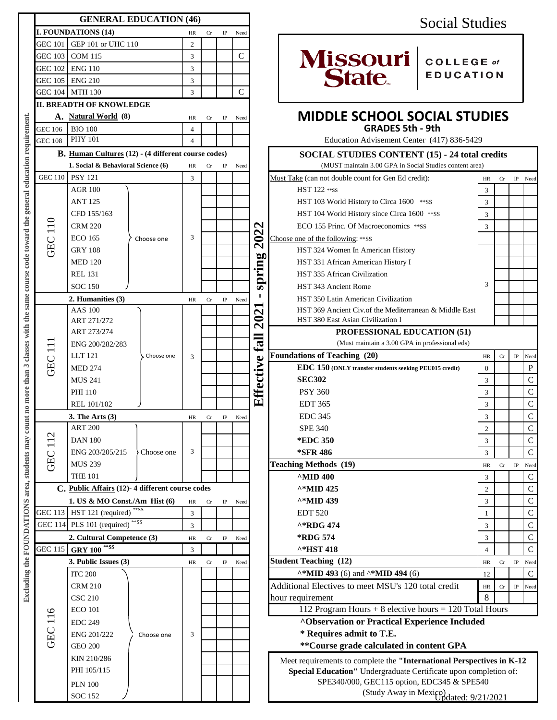|                                                                                                                     |                                                   | <b>GENERAL EDUCATION (46)</b>                       |            |                |               |             |                                     | <b>Social Studies</b>             |                                                                                              |                |             |             |                      |  |  |  |  |
|---------------------------------------------------------------------------------------------------------------------|---------------------------------------------------|-----------------------------------------------------|------------|----------------|---------------|-------------|-------------------------------------|-----------------------------------|----------------------------------------------------------------------------------------------|----------------|-------------|-------------|----------------------|--|--|--|--|
|                                                                                                                     | I. FOUNDATIONS (14)                               | HR                                                  | Cr         | IP             | Need          |             |                                     |                                   |                                                                                              |                |             |             |                      |  |  |  |  |
|                                                                                                                     | GEC 101 GEP 101 or UHC 110                        |                                                     |            | $\mathbf{2}$   |               |             |                                     |                                   |                                                                                              |                |             |             |                      |  |  |  |  |
|                                                                                                                     | GEC 103 COM 115                                   |                                                     |            | $\overline{3}$ |               |             | $\mathcal{C}$                       |                                   | Missouri COLLEGE of                                                                          |                |             |             |                      |  |  |  |  |
|                                                                                                                     | GEC 102 ENG 110                                   |                                                     |            | 3              |               |             |                                     |                                   |                                                                                              |                |             |             |                      |  |  |  |  |
|                                                                                                                     | GEC 105 ENG 210                                   |                                                     |            |                |               |             |                                     |                                   | <b>EDUCATION</b>                                                                             |                |             |             |                      |  |  |  |  |
|                                                                                                                     | GEC 104 MTH 130                                   |                                                     |            |                |               |             | $\mathsf{C}$                        |                                   |                                                                                              |                |             |             |                      |  |  |  |  |
|                                                                                                                     | 3<br><b>II. BREADTH OF KNOWLEDGE</b>              |                                                     |            |                |               |             |                                     |                                   |                                                                                              |                |             |             |                      |  |  |  |  |
|                                                                                                                     |                                                   | HR                                                  | Cr         | $_{\rm IP}$    | Need          |             | <b>MIDDLE SCHOOL SOCIAL STUDIES</b> |                                   |                                                                                              |                |             |             |                      |  |  |  |  |
|                                                                                                                     | A. Natural World (8)<br><b>BIO 100</b><br>GEC 106 |                                                     |            | $\overline{4}$ |               |             |                                     |                                   | <b>GRADES 5th - 9th</b>                                                                      |                |             |             |                      |  |  |  |  |
|                                                                                                                     | <b>PHY 101</b><br><b>GEC 108</b>                  |                                                     |            | $\overline{4}$ |               |             |                                     |                                   | Education Advisement Center (417) 836-5429                                                   |                |             |             |                      |  |  |  |  |
|                                                                                                                     |                                                   | B. Human Cultures (12) - (4 different course codes) |            |                |               |             |                                     |                                   | <b>SOCIAL STUDIES CONTENT (15) - 24 total credits</b>                                        |                |             |             |                      |  |  |  |  |
|                                                                                                                     |                                                   | 1. Social & Behavioral Science (6)                  |            | HR             | Cr            | $_{\rm IP}$ | Need                                |                                   | (MUST maintain 3.00 GPA in Social Studies content area)                                      |                |             |             |                      |  |  |  |  |
|                                                                                                                     |                                                   | GEC 110 PSY 121                                     |            | 3              |               |             |                                     |                                   | Must Take (can not double count for Gen Ed credit):<br>Cr<br>IP Need<br>HR                   |                |             |             |                      |  |  |  |  |
|                                                                                                                     |                                                   | <b>AGR 100</b>                                      |            |                |               |             |                                     |                                   | HST 122 ** ss                                                                                | 3              |             |             |                      |  |  |  |  |
|                                                                                                                     |                                                   | <b>ANT 125</b>                                      |            | 3              |               |             |                                     |                                   | HST 103 World History to Circa 1600 ** SS                                                    | 3              |             |             |                      |  |  |  |  |
|                                                                                                                     |                                                   | CFD 155/163                                         |            |                |               |             |                                     |                                   | HST 104 World History since Circa 1600 ** SS                                                 | 3              |             |             |                      |  |  |  |  |
|                                                                                                                     |                                                   | <b>CRM 220</b>                                      |            |                |               |             |                                     | $\mathbf \Omega$<br>202<br>spring | ECO 155 Princ. Of Macroeconomics ** SS                                                       | 3              |             |             |                      |  |  |  |  |
|                                                                                                                     | <b>GEC 110</b>                                    | <b>ECO 165</b>                                      | Choose one |                |               |             |                                     |                                   |                                                                                              |                |             |             |                      |  |  |  |  |
|                                                                                                                     |                                                   | <b>GRY 108</b>                                      |            |                |               |             |                                     |                                   | Choose one of the following: ** SS<br>HST 324 Women In American History                      |                |             |             |                      |  |  |  |  |
|                                                                                                                     |                                                   | <b>MED 120</b>                                      |            |                |               |             |                                     |                                   | HST 331 African American History I                                                           |                |             |             |                      |  |  |  |  |
|                                                                                                                     |                                                   | <b>REL 131</b>                                      |            |                |               |             |                                     |                                   | HST 335 African Civilization                                                                 | 3              |             |             |                      |  |  |  |  |
|                                                                                                                     |                                                   | <b>SOC 150</b>                                      |            |                |               |             |                                     |                                   |                                                                                              |                |             |             |                      |  |  |  |  |
|                                                                                                                     |                                                   |                                                     |            |                |               |             |                                     |                                   | HST 343 Ancient Rome                                                                         |                |             |             |                      |  |  |  |  |
|                                                                                                                     |                                                   | 2. Humanities (3)<br><b>AAS 100</b>                 |            | HR             | Cr            | $_{\rm IP}$ | Need                                |                                   | HST 350 Latin American Civilization                                                          |                |             |             |                      |  |  |  |  |
|                                                                                                                     | $\Xi$<br>GEC                                      | ART 271/272                                         |            | 3              |               |             |                                     | $\boldsymbol{\mathsf{N}}$         | HST 369 Ancient Civ. of the Mediterranean & Middle East<br>HST 380 East Asian Civilization I |                |             |             |                      |  |  |  |  |
|                                                                                                                     |                                                   | ART 273/274                                         |            |                |               |             |                                     | $\mathbf{S}$                      | <b>PROFESSIONAL EDUCATION (51)</b>                                                           |                |             |             |                      |  |  |  |  |
|                                                                                                                     |                                                   | ENG 200/282/283                                     |            |                |               |             |                                     | Eall                              | (Must maintain a 3.00 GPA in professional eds)                                               |                |             |             |                      |  |  |  |  |
| area, students may count no more than 3 classes with the same course code toward the general education requirement. |                                                   | LLT 121                                             | Choose one |                |               |             |                                     |                                   | <b>Foundations of Teaching (20)</b>                                                          | HR             | Cr          | $_{\rm IP}$ | Need                 |  |  |  |  |
|                                                                                                                     |                                                   | <b>MED 274</b>                                      |            |                |               |             |                                     |                                   | EDC 150 (ONLY transfer students seeking PEU015 credit)                                       | $\Omega$       |             |             | $\, {\bf P}$         |  |  |  |  |
|                                                                                                                     |                                                   | <b>MUS 241</b>                                      |            |                |               |             |                                     |                                   | <b>SEC302</b>                                                                                | 3              |             |             | $\mathsf{C}$         |  |  |  |  |
|                                                                                                                     |                                                   | <b>PHI 110</b>                                      |            |                |               |             |                                     | Effective                         | <b>PSY 360</b>                                                                               | 3              |             |             | $\mathbf C$          |  |  |  |  |
|                                                                                                                     |                                                   | REL 101/102                                         |            |                |               |             |                                     |                                   | <b>EDT 365</b>                                                                               | 3              |             |             | $\mathsf{C}$         |  |  |  |  |
|                                                                                                                     |                                                   | 3. The Arts (3)                                     |            |                | HR Cr IP Need |             |                                     |                                   | <b>EDC 345</b>                                                                               | $\mathbf{3}$   |             |             | $\mathcal{C}$        |  |  |  |  |
|                                                                                                                     |                                                   | <b>ART 200</b>                                      |            |                |               |             |                                     |                                   | <b>SPE 340</b>                                                                               | $\overline{2}$ |             |             | ${\bf C}$            |  |  |  |  |
|                                                                                                                     | 112                                               | <b>DAN 180</b>                                      |            | 3              |               |             |                                     |                                   | <b>*EDC 350</b>                                                                              | 3              |             |             | ${\bf C}$            |  |  |  |  |
|                                                                                                                     | GEC                                               | ENG 203/205/215                                     | Choose one |                |               |             |                                     |                                   | *SFR 486                                                                                     | $\overline{3}$ |             |             | $\mathbf C$          |  |  |  |  |
|                                                                                                                     |                                                   | <b>MUS 239</b>                                      |            |                |               |             |                                     |                                   | <b>Teaching Methods (19)</b>                                                                 | HR             | Cr          |             | IP Need              |  |  |  |  |
|                                                                                                                     |                                                   | <b>THE 101</b>                                      |            |                |               |             |                                     |                                   | $^{\wedge}$ MID 400                                                                          | 3              |             |             | ${\bf C}$            |  |  |  |  |
|                                                                                                                     | C. Public Affairs (12)-4 different course codes   |                                                     |            |                |               |             |                                     |                                   | ^*MID 425                                                                                    | $\overline{2}$ |             |             | ${\bf C}$            |  |  |  |  |
| Excluding the FOUNDATIONS                                                                                           | 1. US & MO Const./Am $Hist(6)$                    |                                                     |            |                |               |             |                                     |                                   | ^*MID 439                                                                                    | 3              |             |             | $\mathbf C$          |  |  |  |  |
|                                                                                                                     | $**SS$<br>GEC 113 HST 121 (required)              |                                                     |            | $\rm{HR}$<br>3 | Cr            | $_{\rm IP}$ | Need                                |                                   | <b>EDT 520</b>                                                                               | -1             |             |             | $\mathbf C$          |  |  |  |  |
|                                                                                                                     | **SS<br>GEC 114 PLS 101 (required)                |                                                     |            | 3              |               |             |                                     |                                   | ^*RDG 474                                                                                    | 3              |             |             | ${\bf C}$            |  |  |  |  |
|                                                                                                                     |                                                   | 2. Cultural Competence (3)                          |            |                |               |             |                                     |                                   | <b>*RDG 574</b>                                                                              |                |             |             | ${\bf C}$            |  |  |  |  |
|                                                                                                                     |                                                   | HR<br>3                                             | Cr         | $_{\rm IP}$    | Need          |             | ^*HST 418                           | 3<br>$\overline{4}$               |                                                                                              |                | $\mathbf C$ |             |                      |  |  |  |  |
|                                                                                                                     |                                                   | GEC 115 GRY 100 <sup>**SS</sup>                     |            |                |               |             |                                     |                                   | <b>Student Teaching (12)</b>                                                                 |                |             |             |                      |  |  |  |  |
|                                                                                                                     |                                                   | 3. Public Issues (3)                                |            | HR             | Cr            | $_{\rm IP}$ | Need                                |                                   | $\lambda * MID$ 493 (6) and $\lambda * MID$ 494 (6)                                          | HR             | Cr          |             | IP Need<br>${\bf C}$ |  |  |  |  |
|                                                                                                                     |                                                   | <b>ITC 200</b>                                      | Choose one | 3              |               |             |                                     |                                   |                                                                                              | 12             |             |             |                      |  |  |  |  |
|                                                                                                                     |                                                   | <b>CRM 210</b>                                      |            |                |               |             |                                     |                                   | Additional Electives to meet MSU's 120 total credit                                          | $\rm{HR}$<br>8 | Cr          |             | IP Need              |  |  |  |  |
|                                                                                                                     | GEC 116                                           | <b>CSC 210</b>                                      |            |                |               |             |                                     |                                   | hour requirement<br>112 Program Hours $+8$ elective hours $= 120$ Total Hours                |                |             |             |                      |  |  |  |  |
|                                                                                                                     |                                                   | <b>ECO 101</b>                                      |            |                |               |             |                                     |                                   |                                                                                              |                |             |             |                      |  |  |  |  |
|                                                                                                                     |                                                   | <b>EDC 249</b>                                      |            |                |               |             |                                     |                                   | <b>^Observation or Practical Experience Included</b>                                         |                |             |             |                      |  |  |  |  |
|                                                                                                                     |                                                   | ENG 201/222                                         |            |                |               |             |                                     |                                   | * Requires admit to T.E.                                                                     |                |             |             |                      |  |  |  |  |
|                                                                                                                     |                                                   | <b>GEO 200</b>                                      |            |                |               |             |                                     |                                   | ** Course grade calculated in content GPA                                                    |                |             |             |                      |  |  |  |  |
|                                                                                                                     |                                                   | KIN 210/286                                         |            |                |               |             |                                     |                                   | Meet requirements to complete the "International Perspectives in K-12                        |                |             |             |                      |  |  |  |  |
|                                                                                                                     |                                                   | PHI 105/115                                         |            |                |               |             |                                     |                                   | Special Education" Undergraduate Certificate upon completion of:                             |                |             |             |                      |  |  |  |  |
|                                                                                                                     |                                                   | <b>PLN 100</b>                                      |            |                |               |             |                                     |                                   | SPE340/000, GEC115 option, EDC345 & SPE540                                                   |                |             |             |                      |  |  |  |  |
|                                                                                                                     |                                                   | <b>SOC 152</b>                                      |            |                |               |             |                                     |                                   | (Study Away in Mexico)<br>rodated: $9/21/2021$                                               |                |             |             |                      |  |  |  |  |

## Social Studies



### **MIDDLE SCHOOL SOCIAL STUDIES GRADES 5th - 9th**

|                                                 | <b>B.</b> Human Cultures (12) - (4 different course codes)                                  |    |                           |             |      |                             | <b>SOCIAL STUDIES CONTENT (15) - 24 total credits</b>                 |                |    |             |               |  |  |
|-------------------------------------------------|---------------------------------------------------------------------------------------------|----|---------------------------|-------------|------|-----------------------------|-----------------------------------------------------------------------|----------------|----|-------------|---------------|--|--|
| 1. Social & Behavioral Science (6)              |                                                                                             | HR | Cr<br>$_{\rm IP}$<br>Need |             |      |                             | (MUST maintain 3.00 GPA in Social Studies content area)               |                |    |             |               |  |  |
| 10                                              | <b>PSY 121</b>                                                                              | 3  |                           |             |      |                             | Must Take (can not double count for Gen Ed credit):                   | HR             | Cr | $_{\rm IP}$ | Need          |  |  |
|                                                 | <b>AGR 100</b>                                                                              |    |                           |             |      |                             | HST 122 ** ss                                                         | 3              |    |             |               |  |  |
|                                                 | <b>ANT 125</b>                                                                              |    |                           |             |      |                             | HST 103 World History to Circa 1600 ** SS                             | 3              |    |             |               |  |  |
|                                                 | CFD 155/163                                                                                 |    |                           |             |      |                             | HST 104 World History since Circa 1600 ** SS                          | 3              |    |             |               |  |  |
|                                                 | <b>CRM 220</b>                                                                              |    |                           |             |      | $\boldsymbol{\sim}$         | ECO 155 Princ. Of Macroeconomics ** SS                                | 3              |    |             |               |  |  |
|                                                 | <b>ECO</b> 165<br>Choose one                                                                | 3  |                           |             |      | 202                         | Choose one of the following: ** SS                                    |                |    |             |               |  |  |
|                                                 | <b>GRY 108</b>                                                                              |    |                           |             |      |                             | HST 324 Women In American History                                     |                |    |             |               |  |  |
|                                                 | <b>MED 120</b>                                                                              |    |                           |             |      | 5                           | HST 331 African American History I                                    |                |    |             |               |  |  |
|                                                 | <b>REL 131</b>                                                                              |    |                           |             |      | spring                      | HST 335 African Civilization                                          |                |    |             |               |  |  |
|                                                 | <b>SOC 150</b>                                                                              |    |                           |             |      |                             | HST 343 Ancient Rome                                                  | 3              |    |             |               |  |  |
| 2. Humanities (3)                               |                                                                                             |    | Cr                        | $\rm IP$    | Need |                             | HST 350 Latin American Civilization                                   |                |    |             |               |  |  |
|                                                 | <b>AAS 100</b>                                                                              |    |                           |             |      |                             | HST 369 Ancient Civ. of the Mediterranean & Middle East               |                |    |             |               |  |  |
|                                                 | ART 271/272                                                                                 |    |                           |             |      | 202                         | HST 380 East Asian Civilization I                                     |                |    |             |               |  |  |
|                                                 | ART 273/274<br>ENG 200/282/283                                                              |    |                           |             |      | $\mathop{\rm Hil}\nolimits$ | PROFESSIONAL EDUCATION (51)                                           |                |    |             |               |  |  |
|                                                 |                                                                                             |    |                           |             |      |                             | (Must maintain a 3.00 GPA in professional eds)                        |                |    |             |               |  |  |
|                                                 | <b>LLT</b> 121<br>Choose one                                                                | 3  |                           |             |      |                             | <b>Foundations of Teaching (20)</b>                                   | $\rm{HR}$      | Cr | $\rm I\!P$  | Need          |  |  |
|                                                 | <b>MED 274</b>                                                                              |    |                           |             |      |                             | EDC 150 (ONLY transfer students seeking PEU015 credit)                | $\mathbf{0}$   |    |             | $\mathbf P$   |  |  |
|                                                 | <b>MUS 241</b>                                                                              |    |                           |             |      |                             | <b>SEC302</b>                                                         | 3              |    |             | $\mathcal{C}$ |  |  |
|                                                 | <b>PHI 110</b>                                                                              |    |                           |             |      | Effective                   | <b>PSY 360</b>                                                        | 3              |    |             | $\mathbf C$   |  |  |
|                                                 | REL 101/102                                                                                 |    |                           |             |      |                             | <b>EDT 365</b>                                                        | 3              |    |             | $\mathbf C$   |  |  |
|                                                 | 3. The Arts $(3)$                                                                           | HR | ${\rm Cr}$                | $\rm IP$    | Need |                             | <b>EDC 345</b>                                                        | 3              |    |             | $\mathsf C$   |  |  |
|                                                 | <b>ART 200</b>                                                                              |    |                           |             |      |                             | <b>SPE 340</b>                                                        | $\overline{2}$ |    |             | $\mathbf C$   |  |  |
|                                                 | <b>DAN 180</b>                                                                              |    |                           |             |      |                             | *EDC 350                                                              | 3              |    |             | $\mathbf C$   |  |  |
|                                                 | ENG 203/205/215<br>Choose one                                                               | 3  |                           |             |      |                             | <b>*SFR 486</b>                                                       | 3              |    |             | $\mathbf C$   |  |  |
|                                                 | <b>MUS 239</b>                                                                              |    |                           |             |      |                             | <b>Teaching Methods (19)</b>                                          | <b>HR</b>      | Cr | $_{\rm IP}$ | Need          |  |  |
|                                                 | <b>THE 101</b>                                                                              |    |                           |             |      |                             | $^{\wedge}$ MID 400                                                   | 3              |    |             | $\mathbf C$   |  |  |
| C. Public Affairs (12)-4 different course codes |                                                                                             |    |                           |             |      |                             | $^{\wedge*}$ MID 425                                                  | 2              |    |             | $\mathbf C$   |  |  |
| 1. US & MO Const./Am Hist $(6)$                 |                                                                                             |    | Cr                        | $_{\rm IP}$ | Need |                             | $^{\wedge*}$ MID 439                                                  | 3              |    |             | $\mathbf C$   |  |  |
|                                                 | 13 HST 121 (required)                                                                       |    |                           |             |      |                             | <b>EDT 520</b>                                                        | 1              |    |             | $\mathsf{C}$  |  |  |
| 14 PLS 101 (required) ** SS                     |                                                                                             | 3  |                           |             |      |                             | ^*RDG 474                                                             | 3              |    |             | $\mathbf C$   |  |  |
|                                                 | 2. Cultural Competence (3)                                                                  | HR | Cr                        | $_{\rm IP}$ | Need |                             | <b>*RDG 574</b>                                                       | 3              |    |             | ${\bf C}$     |  |  |
| 15 GRY 100 ** SS<br>3                           |                                                                                             |    |                           |             |      |                             | ^*HST 418                                                             | $\overline{4}$ |    |             | $\mathbf C$   |  |  |
|                                                 | 3. Public Issues (3)                                                                        | HR | Cr                        | IP          | Need |                             | Student Teaching (12)                                                 | HR             | Cr |             | IP Need       |  |  |
|                                                 | <b>ITC 200</b>                                                                              |    |                           |             |      |                             | $\lambda * MID$ 493 (6) and $\lambda * MID$ 494 (6)                   | 12             |    |             | $\mathbf C$   |  |  |
|                                                 | <b>CRM 210</b>                                                                              |    |                           |             |      |                             | Additional Electives to meet MSU's 120 total credit                   | HR             | Cr | $\rm I\!P$  | Need          |  |  |
|                                                 | <b>CSC 210</b>                                                                              |    |                           |             |      |                             | hour requirement                                                      | 8              |    |             |               |  |  |
|                                                 | <b>ECO 101</b>                                                                              |    |                           |             |      |                             | 112 Program Hours $+8$ elective hours $= 120$ Total Hours             |                |    |             |               |  |  |
| <b>EDC 249</b>                                  |                                                                                             |    |                           |             |      |                             | <b>^Observation or Practical Experience Included</b>                  |                |    |             |               |  |  |
|                                                 | ENG 201/222<br>Choose one<br><b>GEO 200</b><br>KIN 210/286<br>PHI 105/115<br><b>PLN 100</b> |    |                           |             |      |                             | * Requires admit to T.E.                                              |                |    |             |               |  |  |
|                                                 |                                                                                             |    |                           |             |      |                             | ** Course grade calculated in content GPA                             |                |    |             |               |  |  |
|                                                 |                                                                                             |    |                           |             |      |                             | Meet requirements to complete the "International Perspectives in K-12 |                |    |             |               |  |  |
|                                                 |                                                                                             |    |                           |             |      |                             | Special Education" Undergraduate Certificate upon completion of:      |                |    |             |               |  |  |
|                                                 |                                                                                             |    |                           |             |      |                             | SPE340/000, GEC115 option, EDC345 & SPE540                            |                |    |             |               |  |  |
| <b>SOC 152</b>                                  |                                                                                             |    |                           |             |      |                             | (Study Away in Mexico)<br>podated: $9/21/2021$                        |                |    |             |               |  |  |